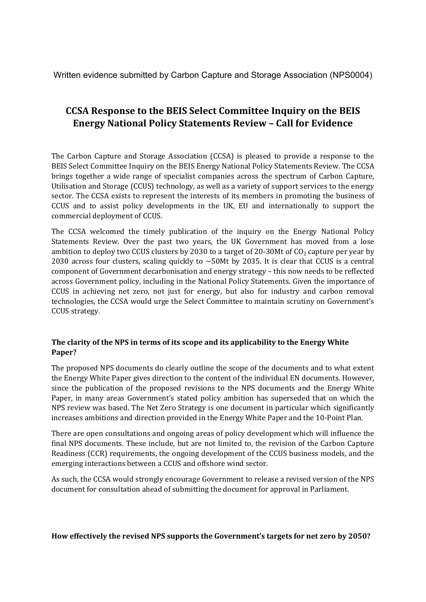Written evidence submitted by Carbon Capture and Storage Association (NPS0004)

# **CCSA Response to the BEIS Select Committee Inquiry on the BEIS Energy National Policy Statements Review – Call for Evidence**

The Carbon Capture and Storage Association (CCSA) is pleased to provide a response to the BEIS Select Committee Inquiry on the BEIS Energy National Policy Statements Review. The CCSA brings together a wide range of specialist companies across the spectrum of Carbon Capture, Utilisation and Storage (CCUS) technology, as well as a variety of support services to the energy sector. The CCSA exists to represent the interests of its members in promoting the business of CCUS and to assist policy developments in the UK, EU and internationally to support the commercial deployment of CCUS.

The CCSA welcomed the timely publication of the inquiry on the Energy National Policy Statements Review. Over the past two years, the UK Government has moved from a lose ambition to deploy two CCUS clusters by 2030 to a target of 20-30Mt of  $CO<sub>2</sub>$  capture per year by 2030 across four clusters, scaling quickly to  $\sim$  50Mt by 2035. It is clear that CCUS is a central component of Government decarbonisation and energy strategy – this now needs to be reflected across Government policy, including in the National Policy Statements. Given the importance of CCUS in achieving net zero, not just for energy, but also for industry and carbon removal technologies, the CCSA would urge the Select Committee to maintain scrutiny on Government's CCUS strategy.

## **The clarity of the NPS in terms of its scope and its applicability to the Energy White Paper?**

The proposed NPS documents do clearly outline the scope of the documents and to what extent the Energy White Paper gives direction to the content of the individual EN documents. However, since the publication of the proposed revisions to the NPS documents and the Energy White Paper, in many areas Government's stated policy ambition has superseded that on which the NPS review was based. The Net Zero Strategy is one document in particular which significantly increases ambitions and direction provided in the Energy White Paper and the 10-Point Plan.

There are open consultations and ongoing areas of policy development which will influence the final NPS documents. These include, but are not limited to, the revision of the Carbon Capture Readiness (CCR) requirements, the ongoing development of the CCUS business models, and the emerging interactions between a CCUS and offshore wind sector.

As such, the CCSA would strongly encourage Government to release a revised version of the NPS document for consultation ahead of submitting the document for approval in Parliament.

**How effectively the revised NPS supports the Government's targets for net zero by 2050?**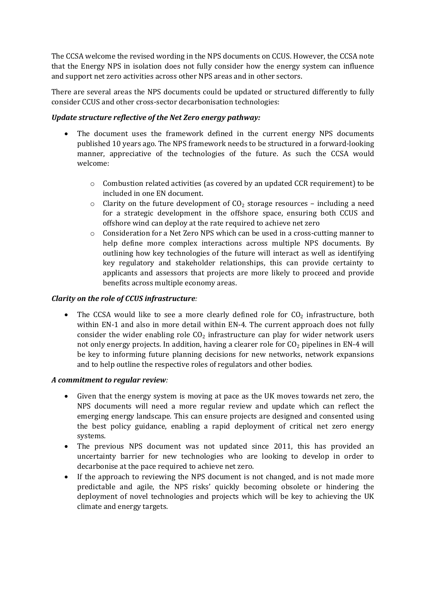The CCSA welcome the revised wording in the NPS documents on CCUS. However, the CCSA note that the Energy NPS in isolation does not fully consider how the energy system can influence and support net zero activities across other NPS areas and in other sectors.

There are several areas the NPS documents could be updated or structured differently to fully consider CCUS and other cross-sector decarbonisation technologies:

#### *Update structure reflective of the Net Zero energy pathway:*

- The document uses the framework defined in the current energy NPS documents published 10 years ago. The NPS framework needs to be structured in a forward-looking manner, appreciative of the technologies of the future. As such the CCSA would welcome:
	- o Combustion related activities (as covered by an updated CCR requirement) to be included in one EN document.
	- $\circ$  Clarity on the future development of CO<sub>2</sub> storage resources including a need for a strategic development in the offshore space, ensuring both CCUS and offshore wind can deploy at the rate required to achieve net zero
	- $\circ$  Consideration for a Net Zero NPS which can be used in a cross-cutting manner to help define more complex interactions across multiple NPS documents. By outlining how key technologies of the future will interact as well as identifying key regulatory and stakeholder relationships, this can provide certainty to applicants and assessors that projects are more likely to proceed and provide benefits across multiple economy areas.

## *Clarity on the role of CCUS infrastructure:*

The CCSA would like to see a more clearly defined role for  $CO<sub>2</sub>$  infrastructure, both within EN-1 and also in more detail within EN-4. The current approach does not fully consider the wider enabling role  $CO<sub>2</sub>$  infrastructure can play for wider network users not only energy projects. In addition, having a clearer role for  $CO<sub>2</sub>$  pipelines in EN-4 will be key to informing future planning decisions for new networks, network expansions and to help outline the respective roles of regulators and other bodies.

#### *A commitment to regular review:*

- Given that the energy system is moving at pace as the UK moves towards net zero, the NPS documents will need a more regular review and update which can reflect the emerging energy landscape. This can ensure projects are designed and consented using the best policy guidance, enabling a rapid deployment of critical net zero energy systems.
- The previous NPS document was not updated since 2011, this has provided an uncertainty barrier for new technologies who are looking to develop in order to decarbonise at the pace required to achieve net zero.
- If the approach to reviewing the NPS document is not changed, and is not made more predictable and agile, the NPS risks' quickly becoming obsolete or hindering the deployment of novel technologies and projects which will be key to achieving the UK climate and energy targets.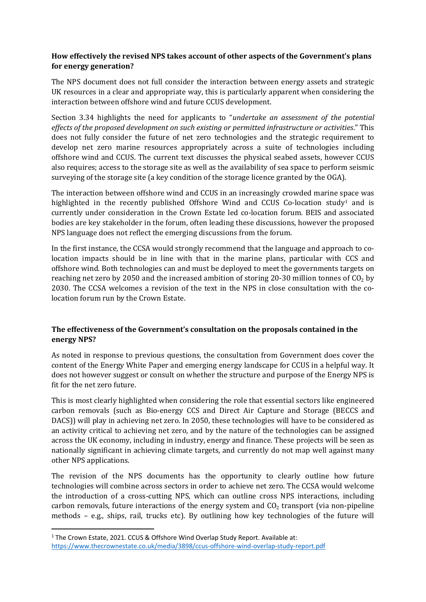## **How effectively the revised NPS takes account of other aspects of the Government's plans for energy generation?**

The NPS document does not full consider the interaction between energy assets and strategic UK resources in a clear and appropriate way, this is particularly apparent when considering the interaction between offshore wind and future CCUS development.

Section 3.34 highlights the need for applicants to "*undertake an assessment of the potential effects of the proposed development on such existing or permitted infrastructure or activities*." This does not fully consider the future of net zero technologies and the strategic requirement to develop net zero marine resources appropriately across a suite of technologies including offshore wind and CCUS. The current text discusses the physical seabed assets, however CCUS also requires; access to the storage site as well as the availability of sea space to perform seismic surveying of the storage site (a key condition of the storage licence granted by the OGA).

The interaction between offshore wind and CCUS in an increasingly crowded marine space was highlighted in the recently published Offshore Wind and CCUS Co-location study<sup>1</sup> and is currently under consideration in the Crown Estate led co-location forum. BEIS and associated bodies are key stakeholder in the forum, often leading these discussions, however the proposed NPS language does not reflect the emerging discussions from the forum.

In the first instance, the CCSA would strongly recommend that the language and approach to colocation impacts should be in line with that in the marine plans, particular with CCS and offshore wind. Both technologies can and must be deployed to meet the governments targets on reaching net zero by 2050 and the increased ambition of storing 20-30 million tonnes of  $CO<sub>2</sub>$  by 2030. The CCSA welcomes a revision of the text in the NPS in close consultation with the colocation forum run by the Crown Estate.

## **The effectiveness of the Government's consultation on the proposals contained in the energy NPS?**

As noted in response to previous questions, the consultation from Government does cover the content of the Energy White Paper and emerging energy landscape for CCUS in a helpful way. It does not however suggest or consult on whether the structure and purpose of the Energy NPS is fit for the net zero future.

This is most clearly highlighted when considering the role that essential sectors like engineered carbon removals (such as Bio-energy CCS and Direct Air Capture and Storage (BECCS and DACS)) will play in achieving net zero. In 2050, these technologies will have to be considered as an activity critical to achieving net zero, and by the nature of the technologies can be assigned across the UK economy, including in industry, energy and finance. These projects will be seen as nationally significant in achieving climate targets, and currently do not map well against many other NPS applications.

The revision of the NPS documents has the opportunity to clearly outline how future technologies will combine across sectors in order to achieve net zero. The CCSA would welcome the introduction of a cross-cutting NPS, which can outline cross NPS interactions, including carbon removals, future interactions of the energy system and  $CO<sub>2</sub>$  transport (via non-pipeline methods – e.g., ships, rail, trucks etc). By outlining how key technologies of the future will

<sup>&</sup>lt;sup>1</sup> The Crown Estate, 2021. CCUS & Offshore Wind Overlap Study Report. Available at: <https://www.thecrownestate.co.uk/media/3898/ccus-offshore-wind-overlap-study-report.pdf>